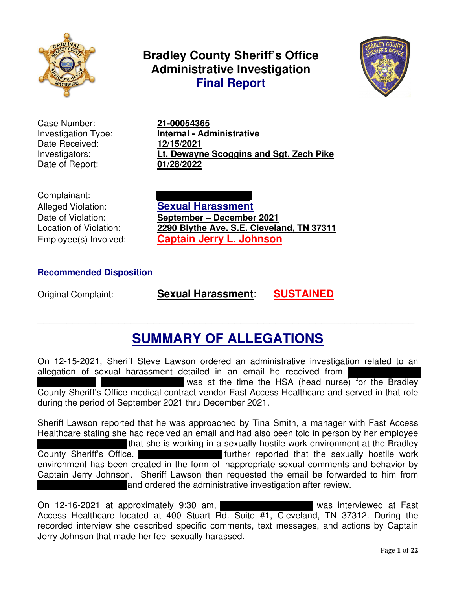

**Bradley County Sheriff's Office Administrative Investigation Final Report**



Case Number: **21-00054365** Date Received: **12/15/2021** Date of Report: **01/28/2022**

# Investigation Type: **Internal - Administrative** Investigators: **Lt. Dewayne Scoggins and Sgt. Zech Pike**

Complainant:

Alleged Violation: **Sexual Harassment** Date of Violation: **September – December 2021** Location of Violation: **2290 Blythe Ave. S.E. Cleveland, TN 37311** Employee(s) Involved: **Captain Jerry L. Johnson**

# **Recommended Disposition**

Original Complaint: **Sexual Harassment**: **SUSTAINED**

# **SUMMARY OF ALLEGATIONS**

**\_\_\_\_\_\_\_\_\_\_\_\_\_\_\_\_\_\_\_\_\_\_\_\_\_\_\_\_\_\_\_\_\_\_\_\_\_\_\_\_\_\_\_\_\_\_\_\_\_\_\_\_\_\_\_\_\_\_\_\_\_\_\_\_\_**

On 12-15-2021, Sheriff Steve Lawson ordered an administrative investigation related to an allegation of sexual harassment detailed in an email he received from was at the time the HSA (head nurse) for the Bradley County Sheriff's Office medical contract vendor Fast Access Healthcare and served in that role during the period of September 2021 thru December 2021.

Sheriff Lawson reported that he was approached by Tina Smith, a manager with Fast Access Healthcare stating she had received an email and had also been told in person by her employee that she is working in a sexually hostile work environment at the Bradley County Sheriff's Office. The sexually hostile work of the sexually hostile work environment has been created in the form of inappropriate sexual comments and behavior by Captain Jerry Johnson. Sheriff Lawson then requested the email be forwarded to him from and ordered the administrative investigation after review.

On 12-16-2021 at approximately 9:30 am, was interviewed at Fast Access Healthcare located at 400 Stuart Rd. Suite #1, Cleveland, TN 37312. During the recorded interview she described specific comments, text messages, and actions by Captain Jerry Johnson that made her feel sexually harassed.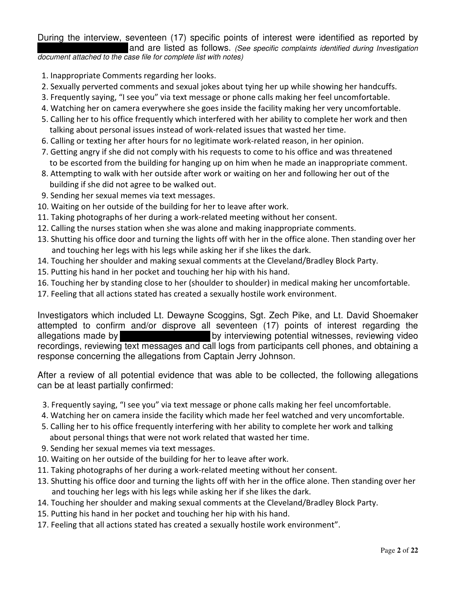During the interview, seventeen (17) specific points of interest were identified as reported by and are listed as follows. *(See specific complaints identified during Investigation*

*document attached to the case file for complete list with notes)*

- 1. Inappropriate Comments regarding her looks.
- 2. Sexually perverted comments and sexual jokes about tying her up while showing her handcuffs.
- 3. Frequently saying, "I see you" via text message or phone calls making her feel uncomfortable.
- 4. Watching her on camera everywhere she goes inside the facility making her very uncomfortable.
- 5. Calling her to his office frequently which interfered with her ability to complete her work and then talking about personal issues instead of work-related issues that wasted her time.
- 6. Calling or texting her after hours for no legitimate work-related reason, in her opinion.
- 7. Getting angry if she did not comply with his requests to come to his office and was threatened to be escorted from the building for hanging up on him when he made an inappropriate comment.
- 8. Attempting to walk with her outside after work or waiting on her and following her out of the building if she did not agree to be walked out.
- 9. Sending her sexual memes via text messages.
- 10. Waiting on her outside of the building for her to leave after work.
- 11. Taking photographs of her during a work-related meeting without her consent.
- 12. Calling the nurses station when she was alone and making inappropriate comments.
- 13. Shutting his office door and turning the lights off with her in the office alone. Then standing over her and touching her legs with his legs while asking her if she likes the dark.
- 14. Touching her shoulder and making sexual comments at the Cleveland/Bradley Block Party.
- 15. Putting his hand in her pocket and touching her hip with his hand.
- 16. Touching her by standing close to her (shoulder to shoulder) in medical making her uncomfortable.
- 17. Feeling that all actions stated has created a sexually hostile work environment.

Investigators which included Lt. Dewayne Scoggins, Sgt. Zech Pike, and Lt. David Shoemaker attempted to confirm and/or disprove all seventeen (17) points of interest regarding the allegations made by **by interviewing potential witnesses**, reviewing video recordings, reviewing text messages and call logs from participants cell phones, and obtaining a response concerning the allegations from Captain Jerry Johnson.

After a review of all potential evidence that was able to be collected, the following allegations can be at least partially confirmed:

- 3. Frequently saying, "I see you" via text message or phone calls making her feel uncomfortable.
- 4. Watching her on camera inside the facility which made her feel watched and very uncomfortable.
- 5. Calling her to his office frequently interfering with her ability to complete her work and talking about personal things that were not work related that wasted her time.
- 9. Sending her sexual memes via text messages.
- 10. Waiting on her outside of the building for her to leave after work.
- 11. Taking photographs of her during a work-related meeting without her consent.
- 13. Shutting his office door and turning the lights off with her in the office alone. Then standing over her and touching her legs with his legs while asking her if she likes the dark.
- 14. Touching her shoulder and making sexual comments at the Cleveland/Bradley Block Party.
- 15. Putting his hand in her pocket and touching her hip with his hand.
- 17. Feeling that all actions stated has created a sexually hostile work environment".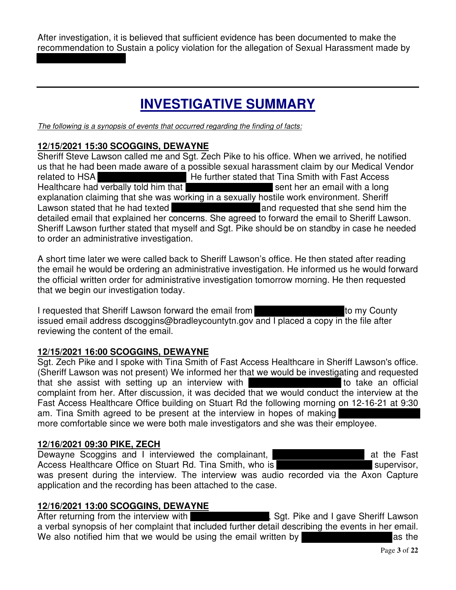After investigation, it is believed that sufficient evidence has been documented to make the recommendation to Sustain a policy violation for the allegation of Sexual Harassment made by

# **INVESTIGATIVE SUMMARY**

*The following is a synopsis of events that occurred regarding the finding of facts:*

# **12/15/2021 15:30 SCOGGINS, DEWAYNE**

Sheriff Steve Lawson called me and Sgt. Zech Pike to his office. When we arrived, he notified us that he had been made aware of a possible sexual harassment claim by our Medical Vendor related to HSA **He further stated that Tina Smith with Fast Access** Healthcare had verbally told him that sent we sent her an email with a long explanation claiming that she was working in a sexually hostile work environment. Sheriff Lawson stated that he had texted **and requested that she send him the** detailed email that explained her concerns. She agreed to forward the email to Sheriff Lawson. Sheriff Lawson further stated that myself and Sgt. Pike should be on standby in case he needed to order an administrative investigation.

A short time later we were called back to Sheriff Lawson's office. He then stated after reading the email he would be ordering an administrative investigation. He informed us he would forward the official written order for administrative investigation tomorrow morning. He then requested that we begin our investigation today.

I requested that Sheriff Lawson forward the email from to my County issued email address dscoggins@bradleycountytn.gov and I placed a copy in the file after reviewing the content of the email.

# **12/15/2021 16:00 SCOGGINS, DEWAYNE**

Sgt. Zech Pike and I spoke with Tina Smith of Fast Access Healthcare in Sheriff Lawson's office. (Sheriff Lawson was not present) We informed her that we would be investigating and requested that she assist with setting up an interview with the state of the take an official complaint from her. After discussion, it was decided that we would conduct the interview at the Fast Access Healthcare Office building on Stuart Rd the following morning on 12-16-21 at 9:30 am. Tina Smith agreed to be present at the interview in hopes of making more comfortable since we were both male investigators and she was their employee.

# **12/16/2021 09:30 PIKE, ZECH**

Dewayne Scoggins and I interviewed the complainant, **Example 20** at the Fast Access Healthcare Office on Stuart Rd. Tina Smith, who is **Studies 10 Stuart 10 Stuart 10** supervisor, was present during the interview. The interview was audio recorded via the Axon Capture application and the recording has been attached to the case.

# **12/16/2021 13:00 SCOGGINS, DEWAYNE**

After returning from the interview with **the state of the set of set.** Sgt. Pike and I gave Sheriff Lawson a verbal synopsis of her complaint that included further detail describing the events in her email. We also notified him that we would be using the email written by a sthe as the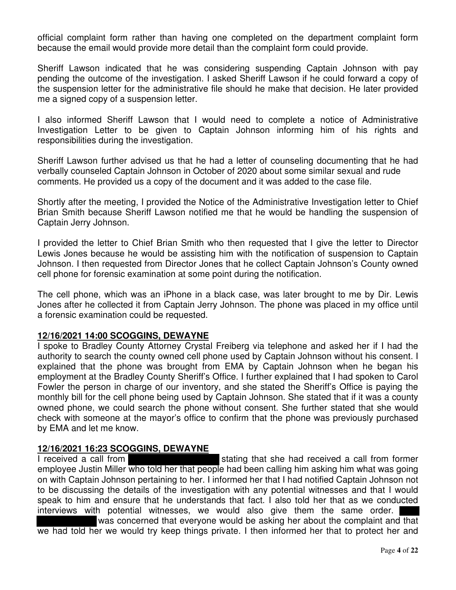official complaint form rather than having one completed on the department complaint form because the email would provide more detail than the complaint form could provide.

Sheriff Lawson indicated that he was considering suspending Captain Johnson with pay pending the outcome of the investigation. I asked Sheriff Lawson if he could forward a copy of the suspension letter for the administrative file should he make that decision. He later provided me a signed copy of a suspension letter.

I also informed Sheriff Lawson that I would need to complete a notice of Administrative Investigation Letter to be given to Captain Johnson informing him of his rights and responsibilities during the investigation.

Sheriff Lawson further advised us that he had a letter of counseling documenting that he had verbally counseled Captain Johnson in October of 2020 about some similar sexual and rude comments. He provided us a copy of the document and it was added to the case file.

Shortly after the meeting, I provided the Notice of the Administrative Investigation letter to Chief Brian Smith because Sheriff Lawson notified me that he would be handling the suspension of Captain Jerry Johnson.

I provided the letter to Chief Brian Smith who then requested that I give the letter to Director Lewis Jones because he would be assisting him with the notification of suspension to Captain Johnson. I then requested from Director Jones that he collect Captain Johnson's County owned cell phone for forensic examination at some point during the notification.

The cell phone, which was an iPhone in a black case, was later brought to me by Dir. Lewis Jones after he collected it from Captain Jerry Johnson. The phone was placed in my office until a forensic examination could be requested.

# **12/16/2021 14:00 SCOGGINS, DEWAYNE**

I spoke to Bradley County Attorney Crystal Freiberg via telephone and asked her if I had the authority to search the county owned cell phone used by Captain Johnson without his consent. I explained that the phone was brought from EMA by Captain Johnson when he began his employment at the Bradley County Sheriff's Office. I further explained that I had spoken to Carol Fowler the person in charge of our inventory, and she stated the Sheriff's Office is paying the monthly bill for the cell phone being used by Captain Johnson. She stated that if it was a county owned phone, we could search the phone without consent. She further stated that she would check with someone at the mayor's office to confirm that the phone was previously purchased by EMA and let me know.

# **12/16/2021 16:23 SCOGGINS, DEWAYNE**

I received a call from stating that she had received a call from former employee Justin Miller who told her that people had been calling him asking him what was going on with Captain Johnson pertaining to her. I informed her that I had notified Captain Johnson not to be discussing the details of the investigation with any potential witnesses and that I would speak to him and ensure that he understands that fact. I also told her that as we conducted interviews with potential witnesses, we would also give them the same order. was concerned that everyone would be asking her about the complaint and that

we had told her we would try keep things private. I then informed her that to protect her and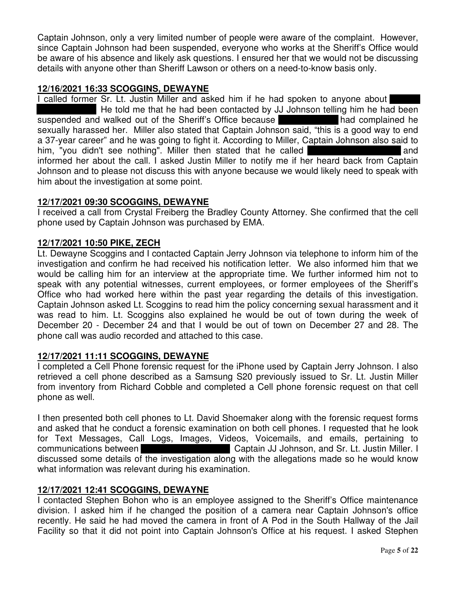Captain Johnson, only a very limited number of people were aware of the complaint. However, since Captain Johnson had been suspended, everyone who works at the Sheriff's Office would be aware of his absence and likely ask questions. I ensured her that we would not be discussing details with anyone other than Sheriff Lawson or others on a need-to-know basis only.

#### **12/16/2021 16:33 SCOGGINS, DEWAYNE**

I called former Sr. Lt. Justin Miller and asked him if he had spoken to anyone about He told me that he had been contacted by JJ Johnson telling him he had been suspended and walked out of the Sheriff's Office because sexually harassed her. Miller also stated that Captain Johnson said, "this is a good way to end a 37-year career" and he was going to fight it. According to Miller, Captain Johnson also said to him, "you didn't see nothing". Miller then stated that he called informed her about the call. I asked Justin Miller to notify me if her heard back from Captain Johnson and to please not discuss this with anyone because we would likely need to speak with him about the investigation at some point.

#### **12/17/2021 09:30 SCOGGINS, DEWAYNE**

I received a call from Crystal Freiberg the Bradley County Attorney. She confirmed that the cell phone used by Captain Johnson was purchased by EMA.

#### **12/17/2021 10:50 PIKE, ZECH**

Lt. Dewayne Scoggins and I contacted Captain Jerry Johnson via telephone to inform him of the investigation and confirm he had received his notification letter. We also informed him that we would be calling him for an interview at the appropriate time. We further informed him not to speak with any potential witnesses, current employees, or former employees of the Sheriff's Office who had worked here within the past year regarding the details of this investigation. Captain Johnson asked Lt. Scoggins to read him the policy concerning sexual harassment and it was read to him. Lt. Scoggins also explained he would be out of town during the week of December 20 - December 24 and that I would be out of town on December 27 and 28. The phone call was audio recorded and attached to this case.

# **12/17/2021 11:11 SCOGGINS, DEWAYNE**

I completed a Cell Phone forensic request for the iPhone used by Captain Jerry Johnson. I also retrieved a cell phone described as a Samsung S20 previously issued to Sr. Lt. Justin Miller from inventory from Richard Cobble and completed a Cell phone forensic request on that cell phone as well.

I then presented both cell phones to Lt. David Shoemaker along with the forensic request forms and asked that he conduct a forensic examination on both cell phones. I requested that he look for Text Messages, Call Logs, Images, Videos, Voicemails, and emails, pertaining to communications between Captain JJ Johnson, and Sr. Lt. Justin Miller. I discussed some details of the investigation along with the allegations made so he would know what information was relevant during his examination.

# **12/17/2021 12:41 SCOGGINS, DEWAYNE**

I contacted Stephen Bohon who is an employee assigned to the Sheriff's Office maintenance division. I asked him if he changed the position of a camera near Captain Johnson's office recently. He said he had moved the camera in front of A Pod in the South Hallway of the Jail Facility so that it did not point into Captain Johnson's Office at his request. I asked Stephen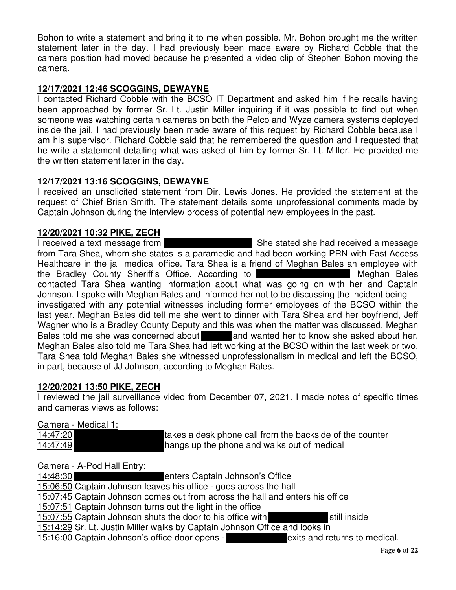Bohon to write a statement and bring it to me when possible. Mr. Bohon brought me the written statement later in the day. I had previously been made aware by Richard Cobble that the camera position had moved because he presented a video clip of Stephen Bohon moving the camera.

# **12/17/2021 12:46 SCOGGINS, DEWAYNE**

I contacted Richard Cobble with the BCSO IT Department and asked him if he recalls having been approached by former Sr. Lt. Justin Miller inquiring if it was possible to find out when someone was watching certain cameras on both the Pelco and Wyze camera systems deployed inside the jail. I had previously been made aware of this request by Richard Cobble because I am his supervisor. Richard Cobble said that he remembered the question and I requested that he write a statement detailing what was asked of him by former Sr. Lt. Miller. He provided me the written statement later in the day.

# **12/17/2021 13:16 SCOGGINS, DEWAYNE**

I received an unsolicited statement from Dir. Lewis Jones. He provided the statement at the request of Chief Brian Smith. The statement details some unprofessional comments made by Captain Johnson during the interview process of potential new employees in the past.

# **12/20/2021 10:32 PIKE, ZECH**

I received a text message from She stated she had received a message from Tara Shea, whom she states is a paramedic and had been working PRN with Fast Access Healthcare in the jail medical office. Tara Shea is a friend of Meghan Bales an employee with the Bradley County Sheriff's Office. According to **Meghan Bales** Meghan Bales contacted Tara Shea wanting information about what was going on with her and Captain Johnson. I spoke with Meghan Bales and informed her not to be discussing the incident being investigated with any potential witnesses including former employees of the BCSO within the last year. Meghan Bales did tell me she went to dinner with Tara Shea and her boyfriend, Jeff Wagner who is a Bradley County Deputy and this was when the matter was discussed. Meghan Bales told me she was concerned about and wanted her to know she asked about her. Meghan Bales also told me Tara Shea had left working at the BCSO within the last week or two. Tara Shea told Meghan Bales she witnessed unprofessionalism in medical and left the BCSO, in part, because of JJ Johnson, according to Meghan Bales.

# **12/20/2021 13:50 PIKE, ZECH**

I reviewed the jail surveillance video from December 07, 2021. I made notes of specific times and cameras views as follows:

# Camera - Medical 1:

| 14:47:20 | Trakes a desk phone call from the backside of the counter |
|----------|-----------------------------------------------------------|
| 14:47:49 | hangs up the phone and walks out of medical               |

# Camera - A-Pod Hall Entry:

14:48:30 enters Captain Johnson's Office 15:06:50 Captain Johnson leaves his office - goes across the hall 15:07:45 Captain Johnson comes out from across the hall and enters his office 15:07:51 Captain Johnson turns out the light in the office 15:07:55 Captain Johnson shuts the door to his office with still inside

15:14:29 Sr. Lt. Justin Miller walks by Captain Johnson Office and looks in

15:16:00 Captain Johnson's office door opens - exits and returns to medical.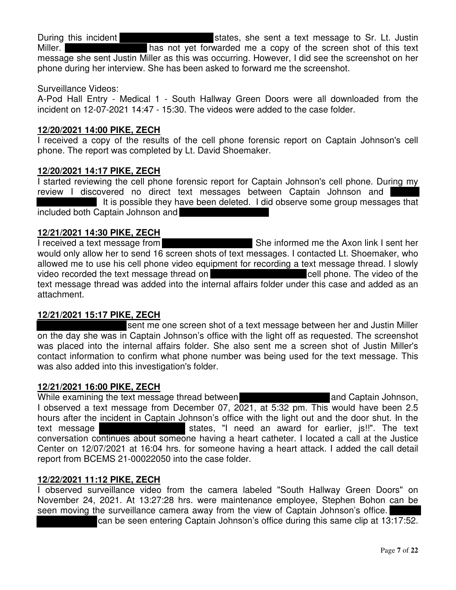During this incident states, she sent a text message to Sr. Lt. Justin Miller. **has not yet forwarded me a copy of the screen shot of this text** message she sent Justin Miller as this was occurring. However, I did see the screenshot on her phone during her interview. She has been asked to forward me the screenshot.

#### Surveillance Videos:

A-Pod Hall Entry - Medical 1 - South Hallway Green Doors were all downloaded from the incident on 12-07-2021 14:47 - 15:30. The videos were added to the case folder.

#### **12/20/2021 14:00 PIKE, ZECH**

I received a copy of the results of the cell phone forensic report on Captain Johnson's cell phone. The report was completed by Lt. David Shoemaker.

#### **12/20/2021 14:17 PIKE, ZECH**

I started reviewing the cell phone forensic report for Captain Johnson's cell phone. During my review I discovered no direct text messages between Captain Johnson and It is possible they have been deleted. I did observe some group messages that included both Captain Johnson and

# **12/21/2021 14:30 PIKE, ZECH**

I received a text message from She informed me the Axon link I sent her would only allow her to send 16 screen shots of text messages. I contacted Lt. Shoemaker, who allowed me to use his cell phone video equipment for recording a text message thread. I slowly video recorded the text message thread on cell phone. The video of the text message thread was added into the internal affairs folder under this case and added as an attachment.

# **12/21/2021 15:17 PIKE, ZECH**

sent me one screen shot of a text message between her and Justin Miller on the day she was in Captain Johnson's office with the light off as requested. The screenshot was placed into the internal affairs folder. She also sent me a screen shot of Justin Miller's contact information to confirm what phone number was being used for the text message. This was also added into this investigation's folder.

#### **12/21/2021 16:00 PIKE, ZECH**

While examining the text message thread between **and Captain Johnson**, I observed a text message from December 07, 2021, at 5:32 pm. This would have been 2.5 hours after the incident in Captain Johnson's office with the light out and the door shut. In the text message states, "I need an award for earlier, js!!". The text conversation continues about someone having a heart catheter. I located a call at the Justice Center on 12/07/2021 at 16:04 hrs. for someone having a heart attack. I added the call detail report from BCEMS 21-00022050 into the case folder.

#### **12/22/2021 11:12 PIKE, ZECH**

I observed surveillance video from the camera labeled "South Hallway Green Doors" on November 24, 2021. At 13:27:28 hrs. were maintenance employee, Stephen Bohon can be seen moving the surveillance camera away from the view of Captain Johnson's office.

can be seen entering Captain Johnson's office during this same clip at 13:17:52.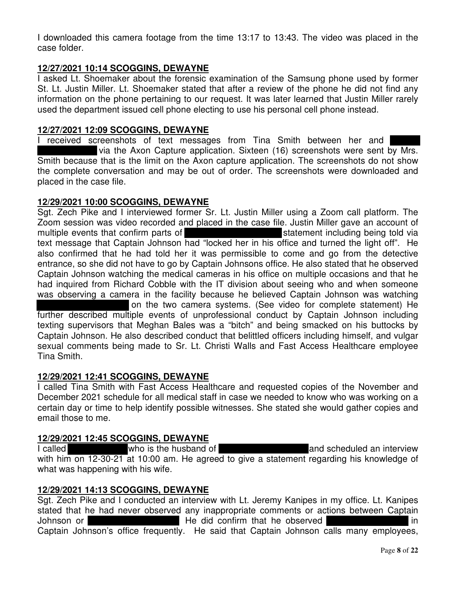I downloaded this camera footage from the time 13:17 to 13:43. The video was placed in the case folder.

# **12/27/2021 10:14 SCOGGINS, DEWAYNE**

I asked Lt. Shoemaker about the forensic examination of the Samsung phone used by former St. Lt. Justin Miller. Lt. Shoemaker stated that after a review of the phone he did not find any information on the phone pertaining to our request. It was later learned that Justin Miller rarely used the department issued cell phone electing to use his personal cell phone instead.

# **12/27/2021 12:09 SCOGGINS, DEWAYNE**

I received screenshots of text messages from Tina Smith between her and via the Axon Capture application. Sixteen (16) screenshots were sent by Mrs. Smith because that is the limit on the Axon capture application. The screenshots do not show the complete conversation and may be out of order. The screenshots were downloaded and placed in the case file.

# **12/29/2021 10:00 SCOGGINS, DEWAYNE**

Sgt. Zech Pike and I interviewed former Sr. Lt. Justin Miller using a Zoom call platform. The Zoom session was video recorded and placed in the case file. Justin Miller gave an account of multiple events that confirm parts of statement including being told via text message that Captain Johnson had "locked her in his office and turned the light off". He also confirmed that he had told her it was permissible to come and go from the detective entrance, so she did not have to go by Captain Johnsons office. He also stated that he observed Captain Johnson watching the medical cameras in his office on multiple occasions and that he had inquired from Richard Cobble with the IT division about seeing who and when someone was observing a camera in the facility because he believed Captain Johnson was watching on the two camera systems. (See video for complete statement) He further described multiple events of unprofessional conduct by Captain Johnson including texting supervisors that Meghan Bales was a "bitch" and being smacked on his buttocks by Captain Johnson. He also described conduct that belittled officers including himself, and vulgar sexual comments being made to Sr. Lt. Christi Walls and Fast Access Healthcare employee

# **12/29/2021 12:41 SCOGGINS, DEWAYNE**

Tina Smith.

I called Tina Smith with Fast Access Healthcare and requested copies of the November and December 2021 schedule for all medical staff in case we needed to know who was working on a certain day or time to help identify possible witnesses. She stated she would gather copies and email those to me.

# **12/29/2021 12:45 SCOGGINS, DEWAYNE**

I called The who is the husband of and scheduled an interview with him on 12-30-21 at 10:00 am. He agreed to give a statement regarding his knowledge of what was happening with his wife.

# **12/29/2021 14:13 SCOGGINS, DEWAYNE**

Sgt. Zech Pike and I conducted an interview with Lt. Jeremy Kanipes in my office. Lt. Kanipes stated that he had never observed any inappropriate comments or actions between Captain Johnson or **He did confirm that he observed** in Captain Johnson's office frequently. He said that Captain Johnson calls many employees,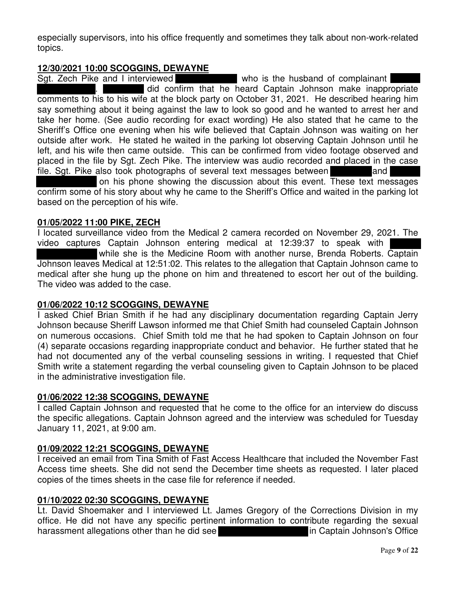especially supervisors, into his office frequently and sometimes they talk about non-work-related topics.

# **12/30/2021 10:00 SCOGGINS, DEWAYNE**

who is the husband of complainant . did confirm that he heard Captain Johnson make inappropriate comments to his to his wife at the block party on October 31, 2021. He described hearing him say something about it being against the law to look so good and he wanted to arrest her and take her home. (See audio recording for exact wording) He also stated that he came to the Sheriff's Office one evening when his wife believed that Captain Johnson was waiting on her outside after work. He stated he waited in the parking lot observing Captain Johnson until he left, and his wife then came outside. This can be confirmed from video footage observed and placed in the file by Sgt. Zech Pike. The interview was audio recorded and placed in the case file. Sgt. Pike also took photographs of several text messages between

on his phone showing the discussion about this event. These text messages confirm some of his story about why he came to the Sheriff's Office and waited in the parking lot based on the perception of his wife.

# **01/05/2022 11:00 PIKE, ZECH**

I located surveillance video from the Medical 2 camera recorded on November 29, 2021. The video captures Captain Johnson entering medical at 12:39:37 to speak with while she is the Medicine Room with another nurse, Brenda Roberts. Captain Johnson leaves Medical at 12:51:02. This relates to the allegation that Captain Johnson came to medical after she hung up the phone on him and threatened to escort her out of the building. The video was added to the case.

# **01/06/2022 10:12 SCOGGINS, DEWAYNE**

I asked Chief Brian Smith if he had any disciplinary documentation regarding Captain Jerry Johnson because Sheriff Lawson informed me that Chief Smith had counseled Captain Johnson on numerous occasions. Chief Smith told me that he had spoken to Captain Johnson on four (4) separate occasions regarding inappropriate conduct and behavior. He further stated that he had not documented any of the verbal counseling sessions in writing. I requested that Chief Smith write a statement regarding the verbal counseling given to Captain Johnson to be placed in the administrative investigation file.

# **01/06/2022 12:38 SCOGGINS, DEWAYNE**

I called Captain Johnson and requested that he come to the office for an interview do discuss the specific allegations. Captain Johnson agreed and the interview was scheduled for Tuesday January 11, 2021, at 9:00 am.

# **01/09/2022 12:21 SCOGGINS, DEWAYNE**

I received an email from Tina Smith of Fast Access Healthcare that included the November Fast Access time sheets. She did not send the December time sheets as requested. I later placed copies of the times sheets in the case file for reference if needed.

# **01/10/2022 02:30 SCOGGINS, DEWAYNE**

Lt. David Shoemaker and I interviewed Lt. James Gregory of the Corrections Division in my office. He did not have any specific pertinent information to contribute regarding the sexual harassment allegations other than he did see **in Captain Johnson's Office** in Captain Johnson's Office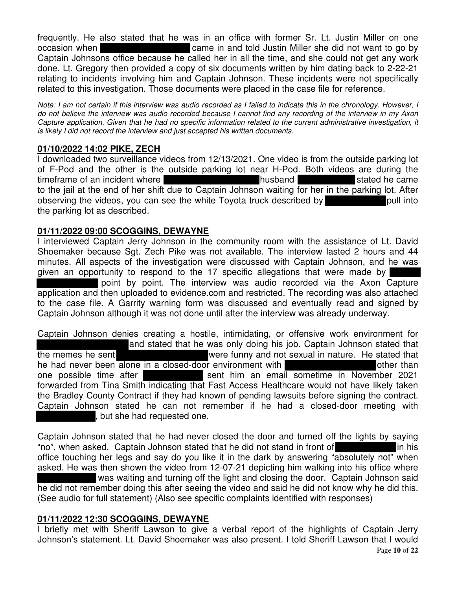frequently. He also stated that he was in an office with former Sr. Lt. Justin Miller on one occasion when came in and told Justin Miller she did not want to go by Captain Johnsons office because he called her in all the time, and she could not get any work done. Lt. Gregory then provided a copy of six documents written by him dating back to 2-22-21 relating to incidents involving him and Captain Johnson. These incidents were not specifically related to this investigation. Those documents were placed in the case file for reference.

Note: I am not certain if this interview was audio recorded as I failed to indicate this in the chronology. However, I do not believe the interview was audio recorded because I cannot find any recording of the interview in my Axon Capture application. Given that he had no specific information related to the current administrative investigation, it *is likely I did not record the interview and just accepted his written documents.*

# **01/10/2022 14:02 PIKE, ZECH**

I downloaded two surveillance videos from 12/13/2021. One video is from the outside parking lot of F-Pod and the other is the outside parking lot near H-Pod. Both videos are during the timeframe of an incident where the stated he came husband stated he came to the jail at the end of her shift due to Captain Johnson waiting for her in the parking lot. After observing the videos, you can see the white Toyota truck described by pull into the parking lot as described.

# **01/11/2022 09:00 SCOGGINS, DEWAYNE**

I interviewed Captain Jerry Johnson in the community room with the assistance of Lt. David Shoemaker because Sgt. Zech Pike was not available. The interview lasted 2 hours and 44 minutes. All aspects of the investigation were discussed with Captain Johnson, and he was given an opportunity to respond to the 17 specific allegations that were made by point by point. The interview was audio recorded via the Axon Capture application and then uploaded to evidence.com and restricted. The recording was also attached to the case file. A Garrity warning form was discussed and eventually read and signed by Captain Johnson although it was not done until after the interview was already underway.

Captain Johnson denies creating a hostile, intimidating, or offensive work environment for and stated that he was only doing his job. Captain Johnson stated that the memes he sent were funny and not sexual in nature. He stated that he had never been alone in a closed-door environment with **the state of the end** other than one possible time after sent him an email sometime in November 2021 forwarded from Tina Smith indicating that Fast Access Healthcare would not have likely taken the Bradley County Contract if they had known of pending lawsuits before signing the contract. Captain Johnson stated he can not remember if he had a closed-door meeting with , but she had requested one.

Captain Johnson stated that he had never closed the door and turned off the lights by saying "no", when asked. Captain Johnson stated that he did not stand in front of in his office touching her legs and say do you like it in the dark by answering "absolutely not" when asked. He was then shown the video from 12-07-21 depicting him walking into his office where was waiting and turning off the light and closing the door. Captain Johnson said he did not remember doing this after seeing the video and said he did not know why he did this. (See audio for full statement) (Also see specific complaints identified with responses)

# **01/11/2022 12:30 SCOGGINS, DEWAYNE**

I briefly met with Sheriff Lawson to give a verbal report of the highlights of Captain Jerry Johnson's statement. Lt. David Shoemaker was also present. I told Sheriff Lawson that I would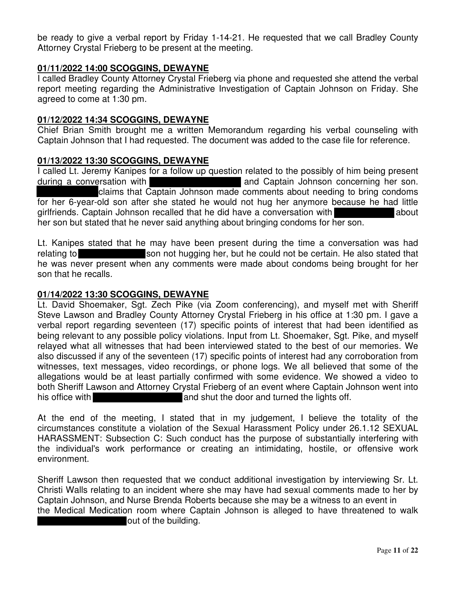be ready to give a verbal report by Friday 1-14-21. He requested that we call Bradley County Attorney Crystal Frieberg to be present at the meeting.

# **01/11/2022 14:00 SCOGGINS, DEWAYNE**

I called Bradley County Attorney Crystal Frieberg via phone and requested she attend the verbal report meeting regarding the Administrative Investigation of Captain Johnson on Friday. She agreed to come at 1:30 pm.

#### **01/12/2022 14:34 SCOGGINS, DEWAYNE**

Chief Brian Smith brought me a written Memorandum regarding his verbal counseling with Captain Johnson that I had requested. The document was added to the case file for reference.

#### **01/13/2022 13:30 SCOGGINS, DEWAYNE**

I called Lt. Jeremy Kanipes for a follow up question related to the possibly of him being present during a conversation with **and Captain Johnson concerning her son.** claims that Captain Johnson made comments about needing to bring condoms for her 6-year-old son after she stated he would not hug her anymore because he had little girlfriends. Captain Johnson recalled that he did have a conversation with her son but stated that he never said anything about bringing condoms for her son.

Lt. Kanipes stated that he may have been present during the time a conversation was had relating to son not hugging her, but he could not be certain. He also stated that he was never present when any comments were made about condoms being brought for her son that he recalls.

#### **01/14/2022 13:30 SCOGGINS, DEWAYNE**

Lt. David Shoemaker, Sgt. Zech Pike (via Zoom conferencing), and myself met with Sheriff Steve Lawson and Bradley County Attorney Crystal Frieberg in his office at 1:30 pm. I gave a verbal report regarding seventeen (17) specific points of interest that had been identified as being relevant to any possible policy violations. Input from Lt. Shoemaker, Sgt. Pike, and myself relayed what all witnesses that had been interviewed stated to the best of our memories. We also discussed if any of the seventeen (17) specific points of interest had any corroboration from witnesses, text messages, video recordings, or phone logs. We all believed that some of the allegations would be at least partially confirmed with some evidence. We showed a video to both Sheriff Lawson and Attorney Crystal Frieberg of an event where Captain Johnson went into his office with and shut the door and turned the lights off.

At the end of the meeting, I stated that in my judgement, I believe the totality of the circumstances constitute a violation of the Sexual Harassment Policy under 26.1.12 SEXUAL HARASSMENT: Subsection C: Such conduct has the purpose of substantially interfering with the individual's work performance or creating an intimidating, hostile, or offensive work environment.

Sheriff Lawson then requested that we conduct additional investigation by interviewing Sr. Lt. Christi Walls relating to an incident where she may have had sexual comments made to her by Captain Johnson, and Nurse Brenda Roberts because she may be a witness to an event in the Medical Medication room where Captain Johnson is alleged to have threatened to walk out of the building.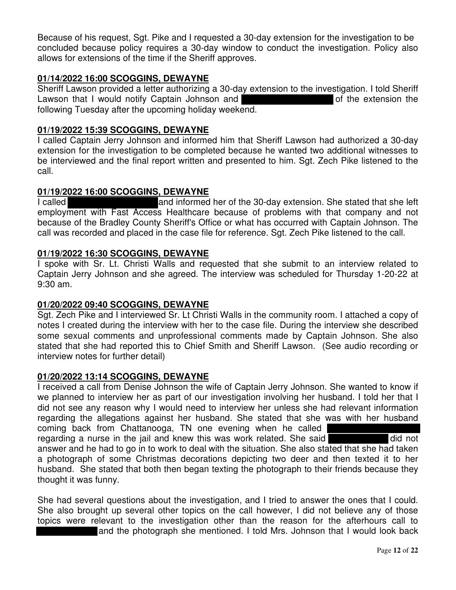Because of his request, Sgt. Pike and I requested a 30-day extension for the investigation to be concluded because policy requires a 30-day window to conduct the investigation. Policy also allows for extensions of the time if the Sheriff approves.

# **01/14/2022 16:00 SCOGGINS, DEWAYNE**

Sheriff Lawson provided a letter authorizing a 30-day extension to the investigation. I told Sheriff Lawson that I would notify Captain Johnson and **Extension** of the extension the following Tuesday after the upcoming holiday weekend.

#### **01/19/2022 15:39 SCOGGINS, DEWAYNE**

I called Captain Jerry Johnson and informed him that Sheriff Lawson had authorized a 30-day extension for the investigation to be completed because he wanted two additional witnesses to be interviewed and the final report written and presented to him. Sgt. Zech Pike listened to the call.

#### **01/19/2022 16:00 SCOGGINS, DEWAYNE**

I called and informed her of the 30-day extension. She stated that she left employment with Fast Access Healthcare because of problems with that company and not because of the Bradley County Sheriff's Office or what has occurred with Captain Johnson. The call was recorded and placed in the case file for reference. Sgt. Zech Pike listened to the call.

#### **01/19/2022 16:30 SCOGGINS, DEWAYNE**

I spoke with Sr. Lt. Christi Walls and requested that she submit to an interview related to Captain Jerry Johnson and she agreed. The interview was scheduled for Thursday 1-20-22 at 9:30 am.

# **01/20/2022 09:40 SCOGGINS, DEWAYNE**

Sgt. Zech Pike and I interviewed Sr. Lt Christi Walls in the community room. I attached a copy of notes I created during the interview with her to the case file. During the interview she described some sexual comments and unprofessional comments made by Captain Johnson. She also stated that she had reported this to Chief Smith and Sheriff Lawson. (See audio recording or interview notes for further detail)

#### **01/20/2022 13:14 SCOGGINS, DEWAYNE**

I received a call from Denise Johnson the wife of Captain Jerry Johnson. She wanted to know if we planned to interview her as part of our investigation involving her husband. I told her that I did not see any reason why I would need to interview her unless she had relevant information regarding the allegations against her husband. She stated that she was with her husband coming back from Chattanooga, TN one evening when he called

regarding a nurse in the jail and knew this was work related. She said

answer and he had to go in to work to deal with the situation. She also stated that she had taken a photograph of some Christmas decorations depicting two deer and then texted it to her husband. She stated that both then began texting the photograph to their friends because they thought it was funny.

She had several questions about the investigation, and I tried to answer the ones that I could. She also brought up several other topics on the call however, I did not believe any of those topics were relevant to the investigation other than the reason for the afterhours call to and the photograph she mentioned. I told Mrs. Johnson that I would look back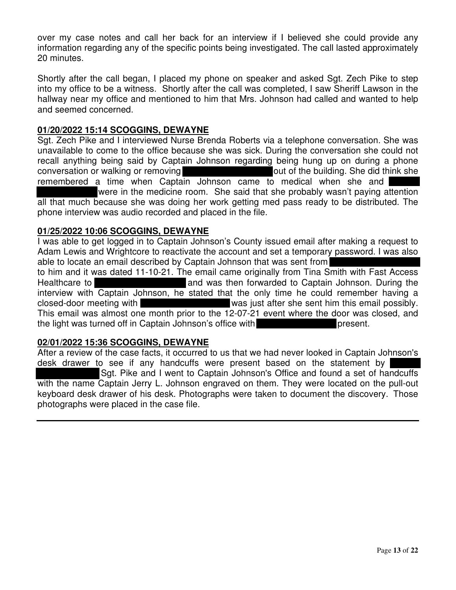over my case notes and call her back for an interview if I believed she could provide any information regarding any of the specific points being investigated. The call lasted approximately 20 minutes.

Shortly after the call began, I placed my phone on speaker and asked Sgt. Zech Pike to step into my office to be a witness. Shortly after the call was completed, I saw Sheriff Lawson in the hallway near my office and mentioned to him that Mrs. Johnson had called and wanted to help and seemed concerned.

#### **01/20/2022 15:14 SCOGGINS, DEWAYNE**

Sgt. Zech Pike and I interviewed Nurse Brenda Roberts via a telephone conversation. She was unavailable to come to the office because she was sick. During the conversation she could not recall anything being said by Captain Johnson regarding being hung up on during a phone conversation or walking or removing solution of the building. She did think she remembered a time when Captain Johnson came to medical when she and were in the medicine room. She said that she probably wasn't paying attention all that much because she was doing her work getting med pass ready to be distributed. The phone interview was audio recorded and placed in the file.

#### **01/25/2022 10:06 SCOGGINS, DEWAYNE**

I was able to get logged in to Captain Johnson's County issued email after making a request to Adam Lewis and Wrightcore to reactivate the account and set a temporary password. I was also able to locate an email described by Captain Johnson that was sent from

to him and it was dated 11-10-21. The email came originally from Tina Smith with Fast Access Healthcare to **and was then forwarded to Captain Johnson.** During the interview with Captain Johnson, he stated that the only time he could remember having a closed-door meeting with was just after she sent him this email possibly. This email was almost one month prior to the 12-07-21 event where the door was closed, and the light was turned off in Captain Johnson's office with present.

#### **02/01/2022 15:36 SCOGGINS, DEWAYNE**

After a review of the case facts, it occurred to us that we had never looked in Captain Johnson's desk drawer to see if any handcuffs were present based on the statement by Sgt. Pike and I went to Captain Johnson's Office and found a set of handcuffs with the name Captain Jerry L. Johnson engraved on them. They were located on the pull-out keyboard desk drawer of his desk. Photographs were taken to document the discovery. Those photographs were placed in the case file.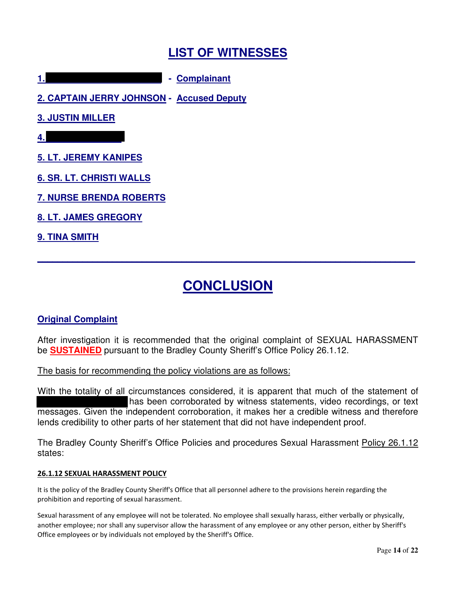# **LIST OF WITNESSES**

**1. - Complainant**

**2. CAPTAIN JERRY JOHNSON - Accused Deputy**

**3. JUSTIN MILLER**

**4.**

**5. LT. JEREMY KANIPES**

**6. SR. LT. CHRISTI WALLS**

**7. NURSE BRENDA ROBERTS**

**8. LT. JAMES GREGORY**

# **9. TINA SMITH**

# **CONCLUSION**

**\_\_\_\_\_\_\_\_\_\_\_\_\_\_\_\_\_\_\_\_\_\_\_\_\_\_\_\_\_\_\_\_\_\_\_\_\_\_\_\_\_\_\_\_\_\_\_\_\_\_\_\_\_\_\_\_\_\_\_\_\_\_\_\_\_\_\_\_\_\_\_\_\_\_\_\_**

# **Original Complaint**

After investigation it is recommended that the original complaint of SEXUAL HARASSMENT be **SUSTAINED** pursuant to the Bradley County Sheriff's Office Policy 26.1.12.

The basis for recommending the policy violations are as follows:

With the totality of all circumstances considered, it is apparent that much of the statement of has been corroborated by witness statements, video recordings, or text messages. Given the independent corroboration, it makes her a credible witness and therefore lends credibility to other parts of her statement that did not have independent proof.

The Bradley County Sheriff's Office Policies and procedures Sexual Harassment Policy 26.1.12 states:

#### **26.1.12 SEXUAL HARASSMENT POLICY**

It is the policy of the Bradley County Sheriff's Office that all personnel adhere to the provisions herein regarding the prohibition and reporting of sexual harassment.

Sexual harassment of any employee will not be tolerated. No employee shall sexually harass, either verbally or physically, another employee; nor shall any supervisor allow the harassment of any employee or any other person, either by Sheriff's Office employees or by individuals not employed by the Sheriff's Office.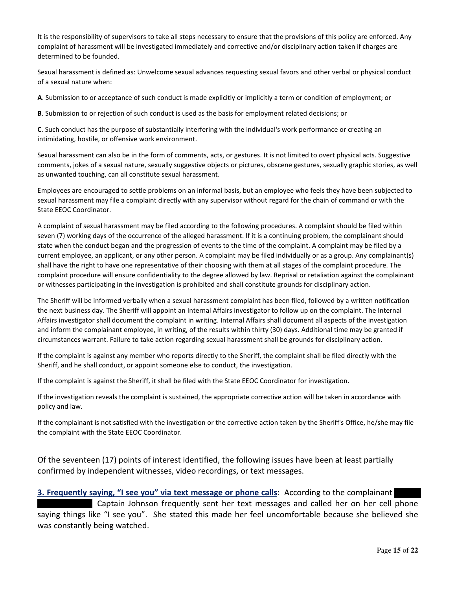It is the responsibility of supervisors to take all steps necessary to ensure that the provisions of this policy are enforced. Any complaint of harassment will be investigated immediately and corrective and/or disciplinary action taken if charges are determined to be founded.

Sexual harassment is defined as: Unwelcome sexual advances requesting sexual favors and other verbal or physical conduct of a sexual nature when:

**A**. Submission to or acceptance of such conduct is made explicitly or implicitly a term or condition of employment; or

**B**. Submission to or rejection of such conduct is used as the basis for employment related decisions; or

**C**. Such conduct has the purpose of substantially interfering with the individual's work performance or creating an intimidating, hostile, or offensive work environment.

Sexual harassment can also be in the form of comments, acts, or gestures. It is not limited to overt physical acts. Suggestive comments, jokes of a sexual nature, sexually suggestive objects or pictures, obscene gestures, sexually graphic stories, as well as unwanted touching, can all constitute sexual harassment.

Employees are encouraged to settle problems on an informal basis, but an employee who feels they have been subjected to sexual harassment may file a complaint directly with any supervisor without regard for the chain of command or with the State EEOC Coordinator.

A complaint of sexual harassment may be filed according to the following procedures. A complaint should be filed within seven (7) working days of the occurrence of the alleged harassment. If it is a continuing problem, the complainant should state when the conduct began and the progression of events to the time of the complaint. A complaint may be filed by a current employee, an applicant, or any other person. A complaint may be filed individually or as a group. Any complainant(s) shall have the right to have one representative of their choosing with them at all stages of the complaint procedure. The complaint procedure will ensure confidentiality to the degree allowed by law. Reprisal or retaliation against the complainant or witnesses participating in the investigation is prohibited and shall constitute grounds for disciplinary action.

The Sheriff will be informed verbally when a sexual harassment complaint has been filed, followed by a written notification the next business day. The Sheriff will appoint an Internal Affairs investigator to follow up on the complaint. The Internal Affairs investigator shall document the complaint in writing. Internal Affairs shall document all aspects of the investigation and inform the complainant employee, in writing, of the results within thirty (30) days. Additional time may be granted if circumstances warrant. Failure to take action regarding sexual harassment shall be grounds for disciplinary action.

If the complaint is against any member who reports directly to the Sheriff, the complaint shall be filed directly with the Sheriff, and he shall conduct, or appoint someone else to conduct, the investigation.

If the complaint is against the Sheriff, it shall be filed with the State EEOC Coordinator for investigation.

If the investigation reveals the complaint is sustained, the appropriate corrective action will be taken in accordance with policy and law.

If the complainant is not satisfied with the investigation or the corrective action taken by the Sheriff's Office, he/she may file the complaint with the State EEOC Coordinator.

Of the seventeen (17) points of interest identified, the following issues have been at least partially confirmed by independent witnesses, video recordings, or text messages.

**3. Frequently saying, "I see you" via text message or phone calls**: According to the complainant Captain Johnson frequently sent her text messages and called her on her cell phone saying things like "I see you". She stated this made her feel uncomfortable because she believed she was constantly being watched.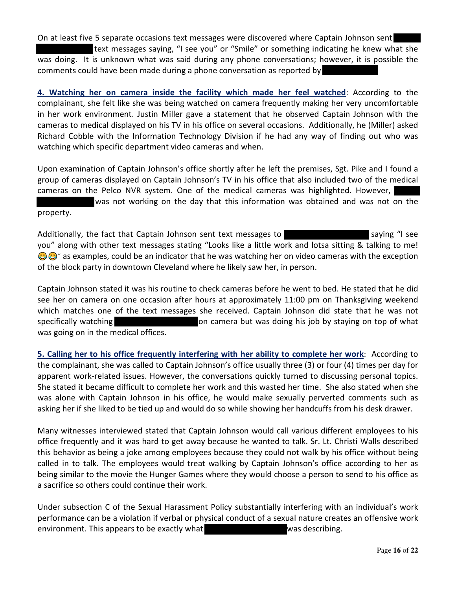On at least five 5 separate occasions text messages were discovered where Captain Johnson sent text messages saying, "I see you" or "Smile" or something indicating he knew what she was doing. It is unknown what was said during any phone conversations; however, it is possible the comments could have been made during a phone conversation as reported by

**4. Watching her on camera inside the facility which made her feel watched**: According to the complainant, she felt like she was being watched on camera frequently making her very uncomfortable in her work environment. Justin Miller gave a statement that he observed Captain Johnson with the cameras to medical displayed on his TV in his office on several occasions. Additionally, he (Miller) asked Richard Cobble with the Information Technology Division if he had any way of finding out who was watching which specific department video cameras and when.

Upon examination of Captain Johnson's office shortly after he left the premises, Sgt. Pike and I found a group of cameras displayed on Captain Johnson's TV in his office that also included two of the medical cameras on the Pelco NVR system. One of the medical cameras was highlighted. However, was not working on the day that this information was obtained and was not on the

property.

Additionally, the fact that Captain Johnson sent text messages to saying "I see you" along with other text messages stating "Looks like a little work and lotsa sitting & talking to me! **a**  $\bullet$   $\bullet$  as examples, could be an indicator that he was watching her on video cameras with the exception of the block party in downtown Cleveland where he likely saw her, in person.

Captain Johnson stated it was his routine to check cameras before he went to bed. He stated that he did see her on camera on one occasion after hours at approximately 11:00 pm on Thanksgiving weekend which matches one of the text messages she received. Captain Johnson did state that he was not specifically watching **on camera but was doing his job by staying on top of what** was going on in the medical offices.

**5. Calling her to his office frequently interfering with her ability to complete her work**: According to the complainant, she was called to Captain Johnson's office usually three (3) or four (4) times per day for apparent work-related issues. However, the conversations quickly turned to discussing personal topics. She stated it became difficult to complete her work and this wasted her time. She also stated when she was alone with Captain Johnson in his office, he would make sexually perverted comments such as asking her if she liked to be tied up and would do so while showing her handcuffs from his desk drawer.

Many witnesses interviewed stated that Captain Johnson would call various different employees to his office frequently and it was hard to get away because he wanted to talk. Sr. Lt. Christi Walls described this behavior as being a joke among employees because they could not walk by his office without being called in to talk. The employees would treat walking by Captain Johnson's office according to her as being similar to the movie the Hunger Games where they would choose a person to send to his office as a sacrifice so others could continue their work.

Under subsection C of the Sexual Harassment Policy substantially interfering with an individual's work performance can be a violation if verbal or physical conduct of a sexual nature creates an offensive work environment. This appears to be exactly what was describing.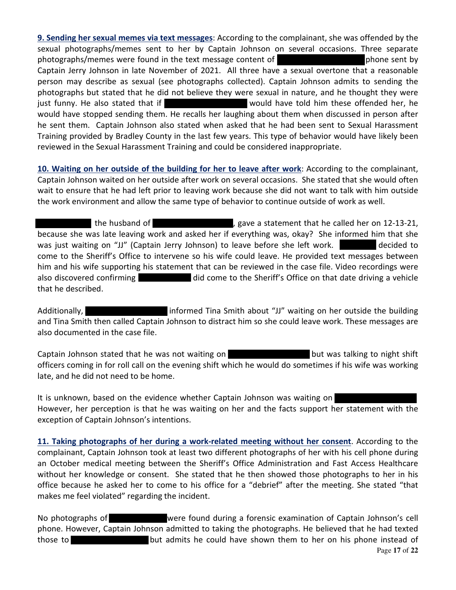**9. Sending her sexual memes via text messages**: According to the complainant, she was offended by the sexual photographs/memes sent to her by Captain Johnson on several occasions. Three separate photographs/memes were found in the text message content of phone sent by Captain Jerry Johnson in late November of 2021. All three have a sexual overtone that a reasonable person may describe as sexual (see photographs collected). Captain Johnson admits to sending the photographs but stated that he did not believe they were sexual in nature, and he thought they were just funny. He also stated that if would have told him these offended her, he would have stopped sending them. He recalls her laughing about them when discussed in person after he sent them. Captain Johnson also stated when asked that he had been sent to Sexual Harassment Training provided by Bradley County in the last few years. This type of behavior would have likely been reviewed in the Sexual Harassment Training and could be considered inappropriate.

**10. Waiting on her outside of the building for her to leave after work**: According to the complainant, Captain Johnson waited on her outside after work on several occasions. She stated that she would often wait to ensure that he had left prior to leaving work because she did not want to talk with him outside the work environment and allow the same type of behavior to continue outside of work as well.

the husband of  $\qquad \qquad$ , gave a statement that he called her on 12-13-21, because she was late leaving work and asked her if everything was, okay? She informed him that she was just waiting on "JJ" (Captain Jerry Johnson) to leave before she left work. decided to come to the Sheriff's Office to intervene so his wife could leave. He provided text messages between him and his wife supporting his statement that can be reviewed in the case file. Video recordings were also discovered confirming did come to the Sheriff's Office on that date driving a vehicle that he described.

Additionally, **informed Tina Smith about "JJ" waiting on her outside the building** and Tina Smith then called Captain Johnson to distract him so she could leave work. These messages are also documented in the case file.

Captain Johnson stated that he was not waiting on but was talking to night shift officers coming in for roll call on the evening shift which he would do sometimes if his wife was working late, and he did not need to be home.

It is unknown, based on the evidence whether Captain Johnson was waiting on However, her perception is that he was waiting on her and the facts support her statement with the exception of Captain Johnson's intentions.

**11. Taking photographs of her during a work-related meeting without her consent**. According to the complainant, Captain Johnson took at least two different photographs of her with his cell phone during an October medical meeting between the Sheriff's Office Administration and Fast Access Healthcare without her knowledge or consent. She stated that he then showed those photographs to her in his office because he asked her to come to his office for a "debrief" after the meeting. She stated "that makes me feel violated" regarding the incident.

Page **17** of **22** No photographs of were found during a forensic examination of Captain Johnson's cell phone. However, Captain Johnson admitted to taking the photographs. He believed that he had texted those to but admits he could have shown them to her on his phone instead of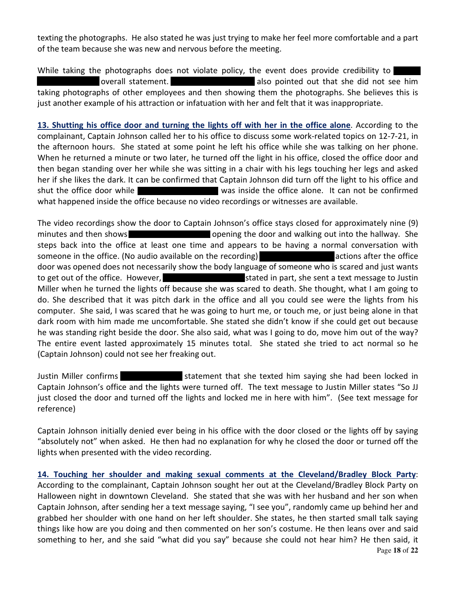texting the photographs. He also stated he was just trying to make her feel more comfortable and a part of the team because she was new and nervous before the meeting.

While taking the photographs does not violate policy, the event does provide credibility to overall statement. also pointed out that she did not see him taking photographs of other employees and then showing them the photographs. She believes this is just another example of his attraction or infatuation with her and felt that it was inappropriate.

**13. Shutting his office door and turning the lights off with her in the office alone**. According to the complainant, Captain Johnson called her to his office to discuss some work-related topics on 12-7-21, in the afternoon hours. She stated at some point he left his office while she was talking on her phone. When he returned a minute or two later, he turned off the light in his office, closed the office door and then began standing over her while she was sitting in a chair with his legs touching her legs and asked her if she likes the dark. It can be confirmed that Captain Johnson did turn off the light to his office and shut the office door while was inside the office alone. It can not be confirmed what happened inside the office because no video recordings or witnesses are available.

The video recordings show the door to Captain Johnson's office stays closed for approximately nine (9) minutes and then shows **opening the door and walking out into the hallway.** She steps back into the office at least one time and appears to be having a normal conversation with someone in the office. (No audio available on the recording) actions after the office door was opened does not necessarily show the body language of someone who is scared and just wants to get out of the office. However, stated in part, she sent a text message to Justin Miller when he turned the lights off because she was scared to death. She thought, what I am going to do. She described that it was pitch dark in the office and all you could see were the lights from his computer. She said, I was scared that he was going to hurt me, or touch me, or just being alone in that dark room with him made me uncomfortable. She stated she didn't know if she could get out because he was standing right beside the door. She also said, what was I going to do, move him out of the way? The entire event lasted approximately 15 minutes total. She stated she tried to act normal so he (Captain Johnson) could not see her freaking out.

Justin Miller confirms statement that she texted him saying she had been locked in Captain Johnson's office and the lights were turned off. The text message to Justin Miller states "So JJ just closed the door and turned off the lights and locked me in here with him". (See text message for reference)

Captain Johnson initially denied ever being in his office with the door closed or the lights off by saying "absolutely not" when asked. He then had no explanation for why he closed the door or turned off the lights when presented with the video recording.

Page **18** of **22 14. Touching her shoulder and making sexual comments at the Cleveland/Bradley Block Party**: According to the complainant, Captain Johnson sought her out at the Cleveland/Bradley Block Party on Halloween night in downtown Cleveland. She stated that she was with her husband and her son when Captain Johnson, after sending her a text message saying, "I see you", randomly came up behind her and grabbed her shoulder with one hand on her left shoulder. She states, he then started small talk saying things like how are you doing and then commented on her son's costume. He then leans over and said something to her, and she said "what did you say" because she could not hear him? He then said, it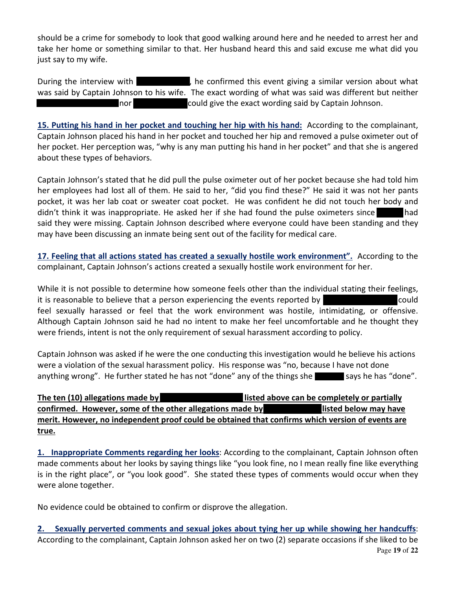should be a crime for somebody to look that good walking around here and he needed to arrest her and take her home or something similar to that. Her husband heard this and said excuse me what did you just say to my wife.

During the interview with **the confirmed** this event giving a similar version about what was said by Captain Johnson to his wife. The exact wording of what was said was different but neither nor **could give the exact wording said by Captain Johnson.** 

**15. Putting his hand in her pocket and touching her hip with his hand:** According to the complainant, Captain Johnson placed his hand in her pocket and touched her hip and removed a pulse oximeter out of her pocket. Her perception was, "why is any man putting his hand in her pocket" and that she is angered about these types of behaviors.

Captain Johnson's stated that he did pull the pulse oximeter out of her pocket because she had told him her employees had lost all of them. He said to her, "did you find these?" He said it was not her pants pocket, it was her lab coat or sweater coat pocket. He was confident he did not touch her body and didn't think it was inappropriate. He asked her if she had found the pulse oximeters since had said they were missing. Captain Johnson described where everyone could have been standing and they may have been discussing an inmate being sent out of the facility for medical care.

**17. Feeling that all actions stated has created a sexually hostile work environment".** According to the complainant, Captain Johnson's actions created a sexually hostile work environment for her.

While it is not possible to determine how someone feels other than the individual stating their feelings, it is reasonable to believe that a person experiencing the events reported by could feel sexually harassed or feel that the work environment was hostile, intimidating, or offensive. Although Captain Johnson said he had no intent to make her feel uncomfortable and he thought they were friends, intent is not the only requirement of sexual harassment according to policy.

Captain Johnson was asked if he were the one conducting this investigation would he believe his actions were a violation of the sexual harassment policy. His response was "no, because I have not done anything wrong". He further stated he has not "done" any of the things she says he has "done".

**The ten (10) allegations made by listed above can be completely or partially confirmed. However, some of the other allegations made by listed below may have merit. However, no independent proof could be obtained that confirms which version of events are true.**

**1. Inappropriate Comments regarding her looks**: According to the complainant, Captain Johnson often made comments about her looks by saying things like "you look fine, no I mean really fine like everything is in the right place", or "you look good". She stated these types of comments would occur when they were alone together.

No evidence could be obtained to confirm or disprove the allegation.

Page **19** of **22 2. Sexually perverted comments and sexual jokes about tying her up while showing her handcuffs**: According to the complainant, Captain Johnson asked her on two (2) separate occasions if she liked to be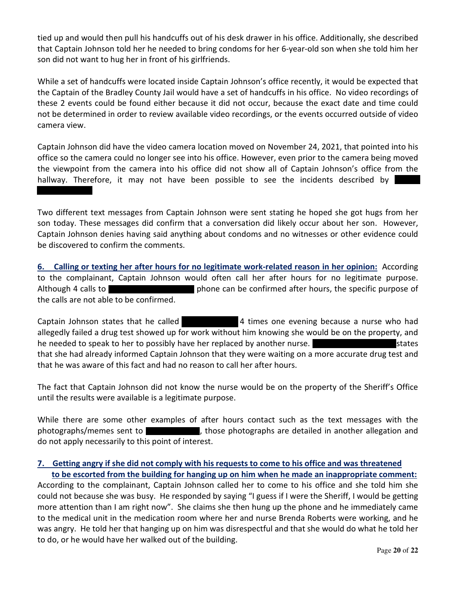tied up and would then pull his handcuffs out of his desk drawer in his office. Additionally, she described that Captain Johnson told her he needed to bring condoms for her 6-year-old son when she told him her son did not want to hug her in front of his girlfriends.

While a set of handcuffs were located inside Captain Johnson's office recently, it would be expected that the Captain of the Bradley County Jail would have a set of handcuffs in his office. No video recordings of these 2 events could be found either because it did not occur, because the exact date and time could not be determined in order to review available video recordings, or the events occurred outside of video camera view.

Captain Johnson did have the video camera location moved on November 24, 2021, that pointed into his office so the camera could no longer see into his office. However, even prior to the camera being moved the viewpoint from the camera into his office did not show all of Captain Johnson's office from the hallway. Therefore, it may not have been possible to see the incidents described by

Two different text messages from Captain Johnson were sent stating he hoped she got hugs from her son today. These messages did confirm that a conversation did likely occur about her son. However, Captain Johnson denies having said anything about condoms and no witnesses or other evidence could be discovered to confirm the comments.

**6. Calling or texting her after hours for no legitimate work-related reason in her opinion:** According to the complainant, Captain Johnson would often call her after hours for no legitimate purpose. Although 4 calls to phone can be confirmed after hours, the specific purpose of the calls are not able to be confirmed.

Captain Johnson states that he called 4 times one evening because a nurse who had allegedly failed a drug test showed up for work without him knowing she would be on the property, and he needed to speak to her to possibly have her replaced by another nurse. Surface states that she had already informed Captain Johnson that they were waiting on a more accurate drug test and that he was aware of this fact and had no reason to call her after hours.

The fact that Captain Johnson did not know the nurse would be on the property of the Sheriff's Office until the results were available is a legitimate purpose.

While there are some other examples of after hours contact such as the text messages with the photographs/memes sent to , those photographs are detailed in another allegation and do not apply necessarily to this point of interest.

#### 7. Getting angry if she did not comply with his requests to come to his office and was threatened **to be escorted from the building for hanging up on him when he made an inappropriate comment:**

According to the complainant, Captain Johnson called her to come to his office and she told him she could not because she was busy. He responded by saying "I guess if I were the Sheriff, I would be getting more attention than I am right now". She claims she then hung up the phone and he immediately came to the medical unit in the medication room where her and nurse Brenda Roberts were working, and he was angry. He told her that hanging up on him was disrespectful and that she would do what he told her to do, or he would have her walked out of the building.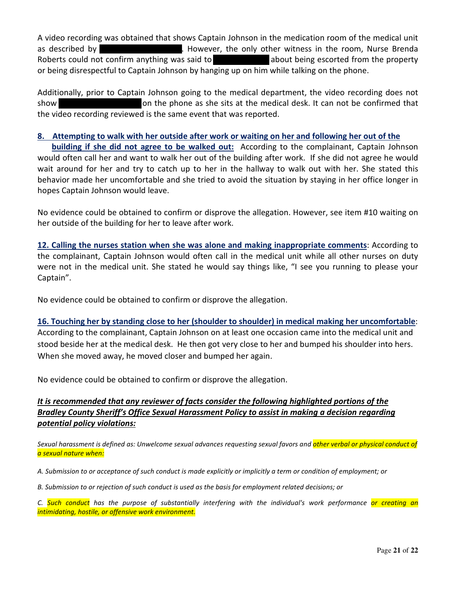A video recording was obtained that shows Captain Johnson in the medication room of the medical unit as described by **.** However, the only other witness in the room, Nurse Brenda Roberts could not confirm anything was said to about being escorted from the property or being disrespectful to Captain Johnson by hanging up on him while talking on the phone.

Additionally, prior to Captain Johnson going to the medical department, the video recording does not show on the phone as she sits at the medical desk. It can not be confirmed that the video recording reviewed is the same event that was reported.

#### 8. Attempting to walk with her outside after work or waiting on her and following her out of the

**building if she did not agree to be walked out:** According to the complainant, Captain Johnson would often call her and want to walk her out of the building after work. If she did not agree he would wait around for her and try to catch up to her in the hallway to walk out with her. She stated this behavior made her uncomfortable and she tried to avoid the situation by staying in her office longer in hopes Captain Johnson would leave.

No evidence could be obtained to confirm or disprove the allegation. However, see item #10 waiting on her outside of the building for her to leave after work.

**12. Calling the nurses station when she was alone and making inappropriate comments**: According to the complainant, Captain Johnson would often call in the medical unit while all other nurses on duty were not in the medical unit. She stated he would say things like, "I see you running to please your Captain".

No evidence could be obtained to confirm or disprove the allegation.

#### **16. Touching her by standing close to her (shoulder to shoulder) in medical making her uncomfortable**:

According to the complainant, Captain Johnson on at least one occasion came into the medical unit and stood beside her at the medical desk. He then got very close to her and bumped his shoulder into hers. When she moved away, he moved closer and bumped her again.

No evidence could be obtained to confirm or disprove the allegation.

# *It is recommended that any reviewer of facts consider the following highlighted portions of the Bradley County Sheriff's Office Sexual Harassment Policy to assist in making a decision regarding potential policy violations:*

Sexual harassment is defined as: Unwelcome sexual advances requesting sexual favors and other verbal or physical conduct of *a sexual nature when:*

- A. Submission to or acceptance of such conduct is made explicitly or implicitly a term or condition of employment; or
- B. Submission to or rejection of such conduct is used as the basis for employment related decisions; or

C. Such conduct has the purpose of substantially interfering with the individual's work performance or creating an *intimidating, hostile, or offensive work environment.*